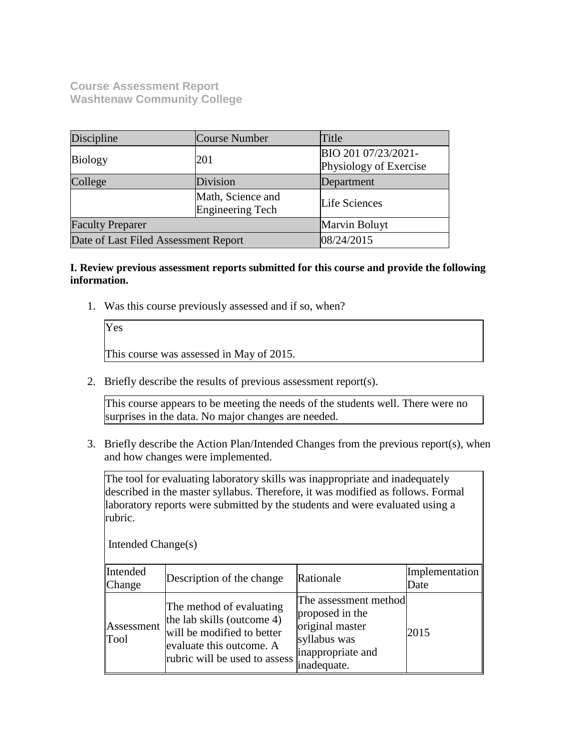**Course Assessment Report Washtenaw Community College**

| Discipline                           | Course Number                                          | Title                                         |
|--------------------------------------|--------------------------------------------------------|-----------------------------------------------|
| <b>Biology</b>                       | 201                                                    | BIO 201 07/23/2021-<br>Physiology of Exercise |
| College                              | Division                                               | Department                                    |
|                                      | Math, Science and<br>Life Sciences<br>Engineering Tech |                                               |
| <b>Faculty Preparer</b>              |                                                        | Marvin Boluyt                                 |
| Date of Last Filed Assessment Report |                                                        | 08/24/2015                                    |

#### **I. Review previous assessment reports submitted for this course and provide the following information.**

1. Was this course previously assessed and if so, when?

Yes This course was assessed in May of 2015.

2. Briefly describe the results of previous assessment report(s).

This course appears to be meeting the needs of the students well. There were no surprises in the data. No major changes are needed.

3. Briefly describe the Action Plan/Intended Changes from the previous report(s), when and how changes were implemented.

The tool for evaluating laboratory skills was inappropriate and inadequately described in the master syllabus. Therefore, it was modified as follows. Formal laboratory reports were submitted by the students and were evaluated using a rubric.

| Intended Change(s) |                                                                                                                                                   |                                                                                                                 |                        |
|--------------------|---------------------------------------------------------------------------------------------------------------------------------------------------|-----------------------------------------------------------------------------------------------------------------|------------------------|
| Intended<br>Change | Description of the change                                                                                                                         | Rationale                                                                                                       | Implementation<br>Date |
| Assessment<br>Tool | The method of evaluating<br>the lab skills (outcome 4)<br>will be modified to better<br>evaluate this outcome. A<br>rubric will be used to assess | The assessment method<br>proposed in the<br>original master<br>syllabus was<br>inappropriate and<br>inadequate. | 2015                   |

Intended Change(s)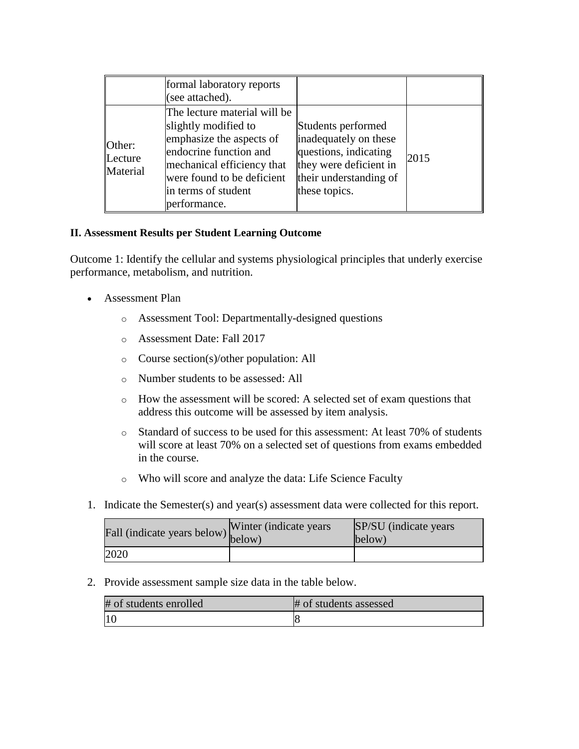|                               | formal laboratory reports<br>(see attached).                                                                                                                                                                  |                                                                                                                                           |      |
|-------------------------------|---------------------------------------------------------------------------------------------------------------------------------------------------------------------------------------------------------------|-------------------------------------------------------------------------------------------------------------------------------------------|------|
| Other:<br>Lecture<br>Material | The lecture material will be<br>slightly modified to<br>emphasize the aspects of<br>endocrine function and<br>mechanical efficiency that<br>were found to be deficient<br>in terms of student<br>performance. | Students performed<br>inadequately on these<br>questions, indicating<br>they were deficient in<br>their understanding of<br>these topics. | 2015 |

## **II. Assessment Results per Student Learning Outcome**

Outcome 1: Identify the cellular and systems physiological principles that underly exercise performance, metabolism, and nutrition.

- Assessment Plan
	- o Assessment Tool: Departmentally-designed questions
	- o Assessment Date: Fall 2017
	- o Course section(s)/other population: All
	- o Number students to be assessed: All
	- o How the assessment will be scored: A selected set of exam questions that address this outcome will be assessed by item analysis.
	- o Standard of success to be used for this assessment: At least 70% of students will score at least 70% on a selected set of questions from exams embedded in the course.
	- o Who will score and analyze the data: Life Science Faculty
- 1. Indicate the Semester(s) and year(s) assessment data were collected for this report.

| Fall (indicate years below) below) | Winter (indicate years) | SP/SU (indicate years)<br>below) |
|------------------------------------|-------------------------|----------------------------------|
| 2020                               |                         |                                  |

2. Provide assessment sample size data in the table below.

| # of students enrolled | # of students assessed |
|------------------------|------------------------|
|                        |                        |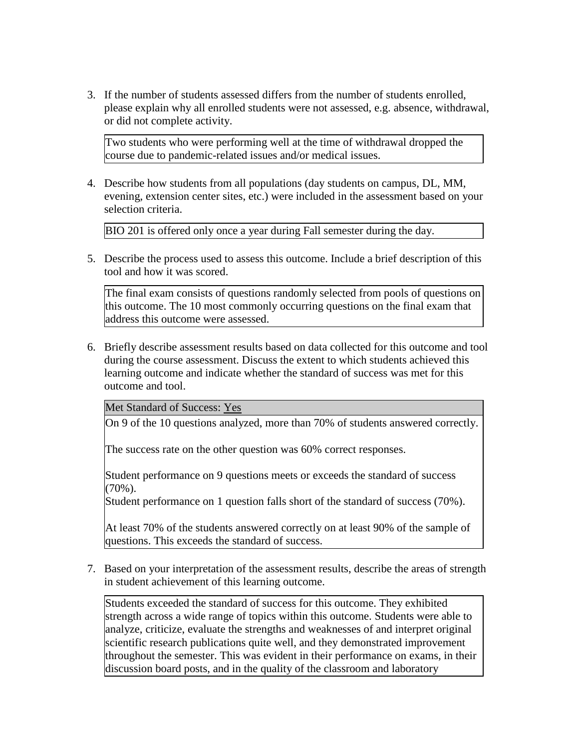3. If the number of students assessed differs from the number of students enrolled, please explain why all enrolled students were not assessed, e.g. absence, withdrawal, or did not complete activity.

Two students who were performing well at the time of withdrawal dropped the course due to pandemic-related issues and/or medical issues.

4. Describe how students from all populations (day students on campus, DL, MM, evening, extension center sites, etc.) were included in the assessment based on your selection criteria.

BIO 201 is offered only once a year during Fall semester during the day.

5. Describe the process used to assess this outcome. Include a brief description of this tool and how it was scored.

The final exam consists of questions randomly selected from pools of questions on this outcome. The 10 most commonly occurring questions on the final exam that address this outcome were assessed.

6. Briefly describe assessment results based on data collected for this outcome and tool during the course assessment. Discuss the extent to which students achieved this learning outcome and indicate whether the standard of success was met for this outcome and tool.

Met Standard of Success: Yes

On 9 of the 10 questions analyzed, more than 70% of students answered correctly.

The success rate on the other question was 60% correct responses.

Student performance on 9 questions meets or exceeds the standard of success (70%).

Student performance on 1 question falls short of the standard of success (70%).

At least 70% of the students answered correctly on at least 90% of the sample of questions. This exceeds the standard of success.

7. Based on your interpretation of the assessment results, describe the areas of strength in student achievement of this learning outcome.

Students exceeded the standard of success for this outcome. They exhibited strength across a wide range of topics within this outcome. Students were able to analyze, criticize, evaluate the strengths and weaknesses of and interpret original scientific research publications quite well, and they demonstrated improvement throughout the semester. This was evident in their performance on exams, in their discussion board posts, and in the quality of the classroom and laboratory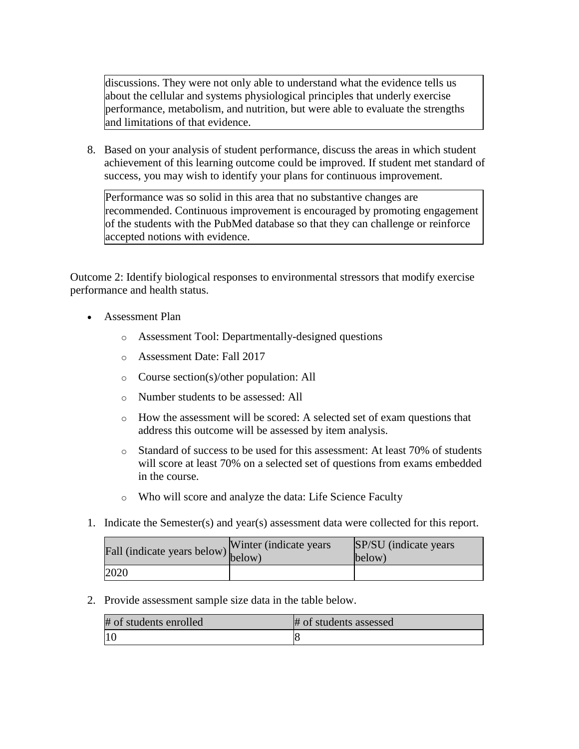discussions. They were not only able to understand what the evidence tells us about the cellular and systems physiological principles that underly exercise performance, metabolism, and nutrition, but were able to evaluate the strengths and limitations of that evidence.

8. Based on your analysis of student performance, discuss the areas in which student achievement of this learning outcome could be improved. If student met standard of success, you may wish to identify your plans for continuous improvement.

Performance was so solid in this area that no substantive changes are recommended. Continuous improvement is encouraged by promoting engagement of the students with the PubMed database so that they can challenge or reinforce accepted notions with evidence.

Outcome 2: Identify biological responses to environmental stressors that modify exercise performance and health status.

- Assessment Plan
	- o Assessment Tool: Departmentally-designed questions
	- o Assessment Date: Fall 2017
	- o Course section(s)/other population: All
	- o Number students to be assessed: All
	- o How the assessment will be scored: A selected set of exam questions that address this outcome will be assessed by item analysis.
	- o Standard of success to be used for this assessment: At least 70% of students will score at least 70% on a selected set of questions from exams embedded in the course.
	- o Who will score and analyze the data: Life Science Faculty
- 1. Indicate the Semester(s) and year(s) assessment data were collected for this report.

| riall (indicate years below) below) | Winter (indicate years) | SP/SU (indicate years)<br>below) |
|-------------------------------------|-------------------------|----------------------------------|
| 2020                                |                         |                                  |

2. Provide assessment sample size data in the table below.

| # of students enrolled | # of students assessed |
|------------------------|------------------------|
|                        |                        |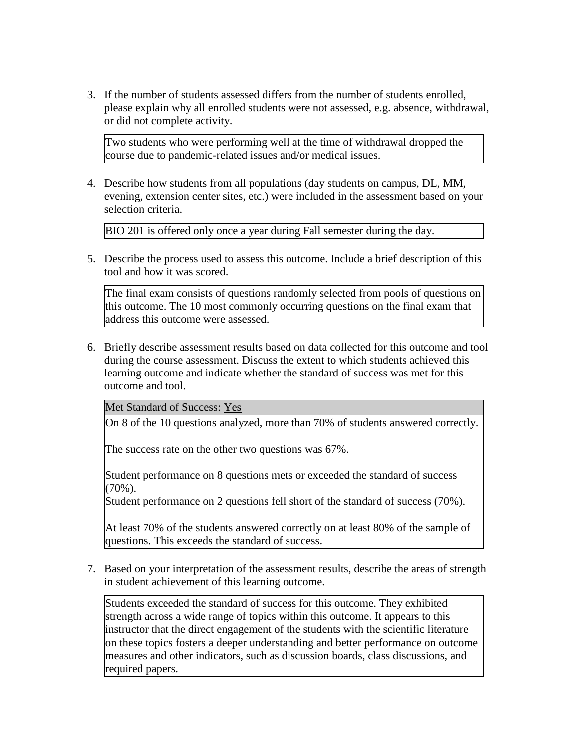3. If the number of students assessed differs from the number of students enrolled, please explain why all enrolled students were not assessed, e.g. absence, withdrawal, or did not complete activity.

Two students who were performing well at the time of withdrawal dropped the course due to pandemic-related issues and/or medical issues.

4. Describe how students from all populations (day students on campus, DL, MM, evening, extension center sites, etc.) were included in the assessment based on your selection criteria.

BIO 201 is offered only once a year during Fall semester during the day.

5. Describe the process used to assess this outcome. Include a brief description of this tool and how it was scored.

The final exam consists of questions randomly selected from pools of questions on this outcome. The 10 most commonly occurring questions on the final exam that address this outcome were assessed.

6. Briefly describe assessment results based on data collected for this outcome and tool during the course assessment. Discuss the extent to which students achieved this learning outcome and indicate whether the standard of success was met for this outcome and tool.

Met Standard of Success: Yes

On 8 of the 10 questions analyzed, more than 70% of students answered correctly.

The success rate on the other two questions was 67%.

Student performance on 8 questions mets or exceeded the standard of success (70%).

Student performance on 2 questions fell short of the standard of success (70%).

At least 70% of the students answered correctly on at least 80% of the sample of questions. This exceeds the standard of success.

7. Based on your interpretation of the assessment results, describe the areas of strength in student achievement of this learning outcome.

Students exceeded the standard of success for this outcome. They exhibited strength across a wide range of topics within this outcome. It appears to this instructor that the direct engagement of the students with the scientific literature on these topics fosters a deeper understanding and better performance on outcome measures and other indicators, such as discussion boards, class discussions, and required papers.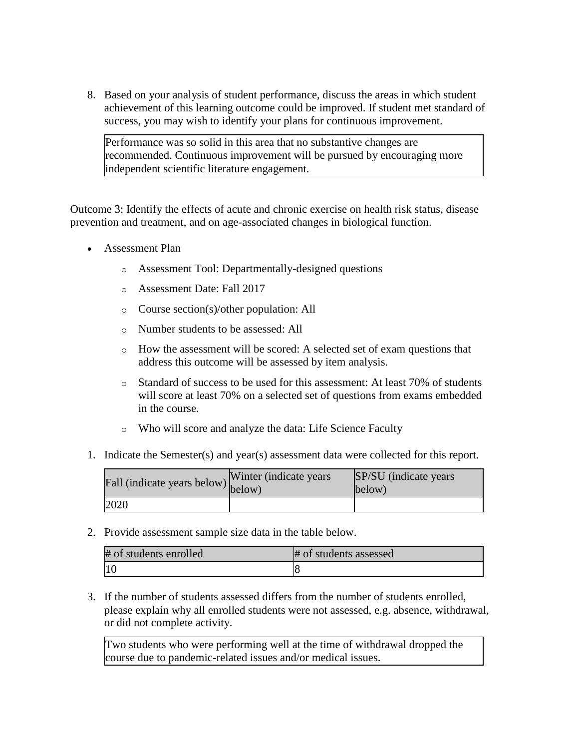8. Based on your analysis of student performance, discuss the areas in which student achievement of this learning outcome could be improved. If student met standard of success, you may wish to identify your plans for continuous improvement.

Performance was so solid in this area that no substantive changes are recommended. Continuous improvement will be pursued by encouraging more independent scientific literature engagement.

Outcome 3: Identify the effects of acute and chronic exercise on health risk status, disease prevention and treatment, and on age-associated changes in biological function.

- Assessment Plan
	- o Assessment Tool: Departmentally-designed questions
	- o Assessment Date: Fall 2017
	- o Course section(s)/other population: All
	- o Number students to be assessed: All
	- o How the assessment will be scored: A selected set of exam questions that address this outcome will be assessed by item analysis.
	- o Standard of success to be used for this assessment: At least 70% of students will score at least 70% on a selected set of questions from exams embedded in the course.
	- o Who will score and analyze the data: Life Science Faculty
- 1. Indicate the Semester(s) and year(s) assessment data were collected for this report.

| Fall (indicate years below) below) | Winter (indicate years) | SP/SU (indicate years)<br>below) |
|------------------------------------|-------------------------|----------------------------------|
| 2020                               |                         |                                  |

2. Provide assessment sample size data in the table below.

| # of students enrolled | # of students assessed |
|------------------------|------------------------|
| <sup>10</sup>          |                        |

3. If the number of students assessed differs from the number of students enrolled, please explain why all enrolled students were not assessed, e.g. absence, withdrawal, or did not complete activity.

Two students who were performing well at the time of withdrawal dropped the course due to pandemic-related issues and/or medical issues.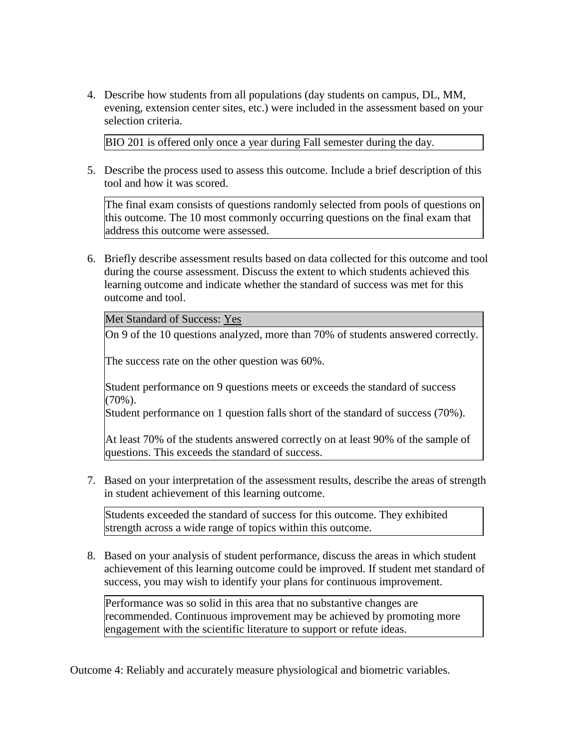4. Describe how students from all populations (day students on campus, DL, MM, evening, extension center sites, etc.) were included in the assessment based on your selection criteria.

BIO 201 is offered only once a year during Fall semester during the day.

5. Describe the process used to assess this outcome. Include a brief description of this tool and how it was scored.

The final exam consists of questions randomly selected from pools of questions on this outcome. The 10 most commonly occurring questions on the final exam that address this outcome were assessed.

6. Briefly describe assessment results based on data collected for this outcome and tool during the course assessment. Discuss the extent to which students achieved this learning outcome and indicate whether the standard of success was met for this outcome and tool.

Met Standard of Success: Yes

On 9 of the 10 questions analyzed, more than 70% of students answered correctly.

The success rate on the other question was 60%.

Student performance on 9 questions meets or exceeds the standard of success  $(70\%)$ .

Student performance on 1 question falls short of the standard of success (70%).

At least 70% of the students answered correctly on at least 90% of the sample of questions. This exceeds the standard of success.

7. Based on your interpretation of the assessment results, describe the areas of strength in student achievement of this learning outcome.

Students exceeded the standard of success for this outcome. They exhibited strength across a wide range of topics within this outcome.

8. Based on your analysis of student performance, discuss the areas in which student achievement of this learning outcome could be improved. If student met standard of success, you may wish to identify your plans for continuous improvement.

Performance was so solid in this area that no substantive changes are recommended. Continuous improvement may be achieved by promoting more engagement with the scientific literature to support or refute ideas.

Outcome 4: Reliably and accurately measure physiological and biometric variables.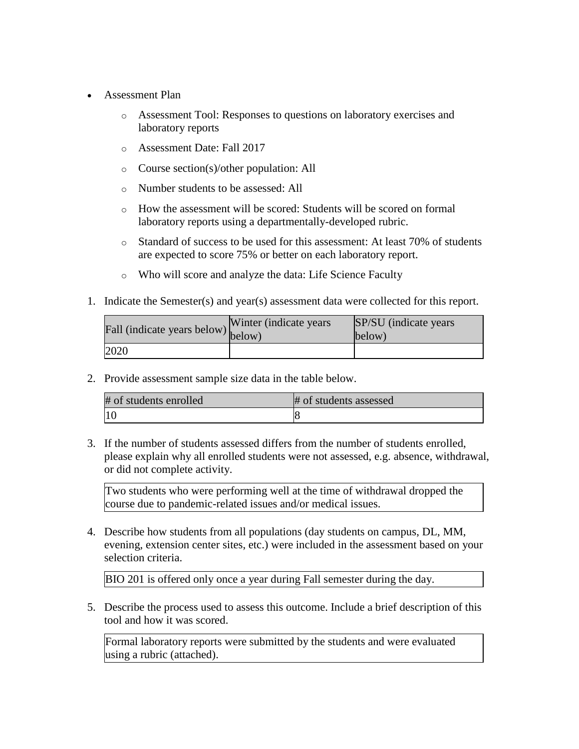- Assessment Plan
	- o Assessment Tool: Responses to questions on laboratory exercises and laboratory reports
	- o Assessment Date: Fall 2017
	- o Course section(s)/other population: All
	- o Number students to be assessed: All
	- o How the assessment will be scored: Students will be scored on formal laboratory reports using a departmentally-developed rubric.
	- o Standard of success to be used for this assessment: At least 70% of students are expected to score 75% or better on each laboratory report.
	- o Who will score and analyze the data: Life Science Faculty
- 1. Indicate the Semester(s) and year(s) assessment data were collected for this report.

| rall (indicate years below) below) | Winter (indicate years) | SP/SU (indicate years)<br>below) |
|------------------------------------|-------------------------|----------------------------------|
| 2020                               |                         |                                  |

2. Provide assessment sample size data in the table below.

| # of students enrolled | # of students assessed |
|------------------------|------------------------|
|                        |                        |

3. If the number of students assessed differs from the number of students enrolled, please explain why all enrolled students were not assessed, e.g. absence, withdrawal, or did not complete activity.

Two students who were performing well at the time of withdrawal dropped the course due to pandemic-related issues and/or medical issues.

4. Describe how students from all populations (day students on campus, DL, MM, evening, extension center sites, etc.) were included in the assessment based on your selection criteria.

BIO 201 is offered only once a year during Fall semester during the day.

5. Describe the process used to assess this outcome. Include a brief description of this tool and how it was scored.

Formal laboratory reports were submitted by the students and were evaluated using a rubric (attached).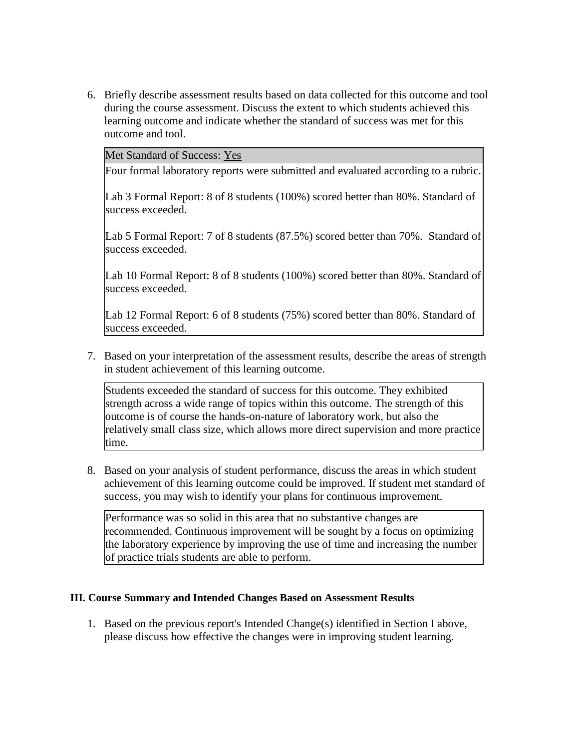6. Briefly describe assessment results based on data collected for this outcome and tool during the course assessment. Discuss the extent to which students achieved this learning outcome and indicate whether the standard of success was met for this outcome and tool.

Met Standard of Success: Yes

Four formal laboratory reports were submitted and evaluated according to a rubric.

Lab 3 Formal Report: 8 of 8 students (100%) scored better than 80%. Standard of success exceeded.

Lab 5 Formal Report: 7 of 8 students (87.5%) scored better than 70%. Standard of success exceeded.

Lab 10 Formal Report: 8 of 8 students (100%) scored better than 80%. Standard of success exceeded.

Lab 12 Formal Report: 6 of 8 students (75%) scored better than 80%. Standard of success exceeded.

7. Based on your interpretation of the assessment results, describe the areas of strength in student achievement of this learning outcome.

Students exceeded the standard of success for this outcome. They exhibited strength across a wide range of topics within this outcome. The strength of this outcome is of course the hands-on-nature of laboratory work, but also the relatively small class size, which allows more direct supervision and more practice time.

8. Based on your analysis of student performance, discuss the areas in which student achievement of this learning outcome could be improved. If student met standard of success, you may wish to identify your plans for continuous improvement.

Performance was so solid in this area that no substantive changes are recommended. Continuous improvement will be sought by a focus on optimizing the laboratory experience by improving the use of time and increasing the number of practice trials students are able to perform.

#### **III. Course Summary and Intended Changes Based on Assessment Results**

1. Based on the previous report's Intended Change(s) identified in Section I above, please discuss how effective the changes were in improving student learning.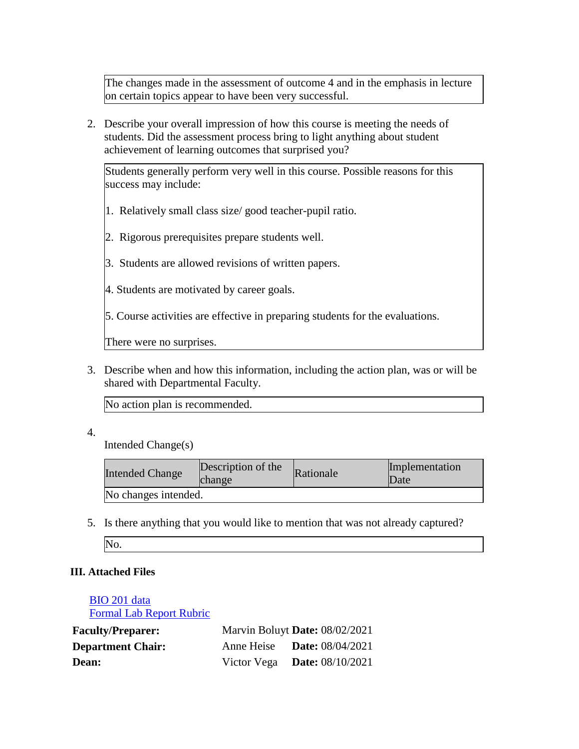The changes made in the assessment of outcome 4 and in the emphasis in lecture on certain topics appear to have been very successful.

2. Describe your overall impression of how this course is meeting the needs of students. Did the assessment process bring to light anything about student achievement of learning outcomes that surprised you?

Students generally perform very well in this course. Possible reasons for this success may include:

- 1. Relatively small class size/ good teacher-pupil ratio.
- 2. Rigorous prerequisites prepare students well.
- 3. Students are allowed revisions of written papers.
- 4. Students are motivated by career goals.

5. Course activities are effective in preparing students for the evaluations.

There were no surprises.

3. Describe when and how this information, including the action plan, was or will be shared with Departmental Faculty.

No action plan is recommended.

4.

Intended Change(s)

| <b>Intended Change</b> | Description of the<br>change | Rationale | Implementation<br>Date |
|------------------------|------------------------------|-----------|------------------------|
| No changes intended.   |                              |           |                        |

5. Is there anything that you would like to mention that was not already captured?

## **III. Attached Files**

[BIO 201 data](documents/BIO_201_Assessment_July_2021_F2020_V2.xlsx) [Formal Lab Report Rubric](documents/BIO_201_Formal_Lab_Report_Rubric_V11.doc)

| <b>Faculty/Preparer:</b> | Marvin Boluyt Date: 08/02/2021     |
|--------------------------|------------------------------------|
| <b>Department Chair:</b> | Anne Heise <b>Date:</b> 08/04/2021 |
| Dean:                    | Victor Vega Date: $08/10/2021$     |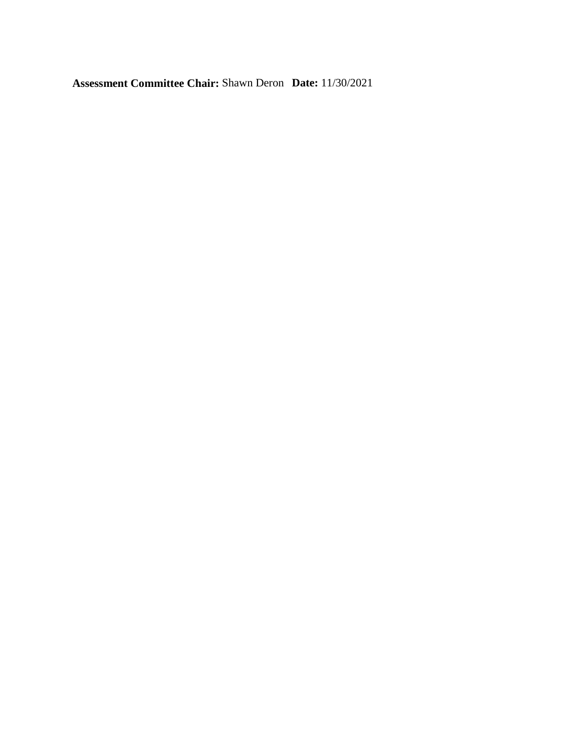**Assessment Committee Chair:** Shawn Deron **Date:** 11/30/2021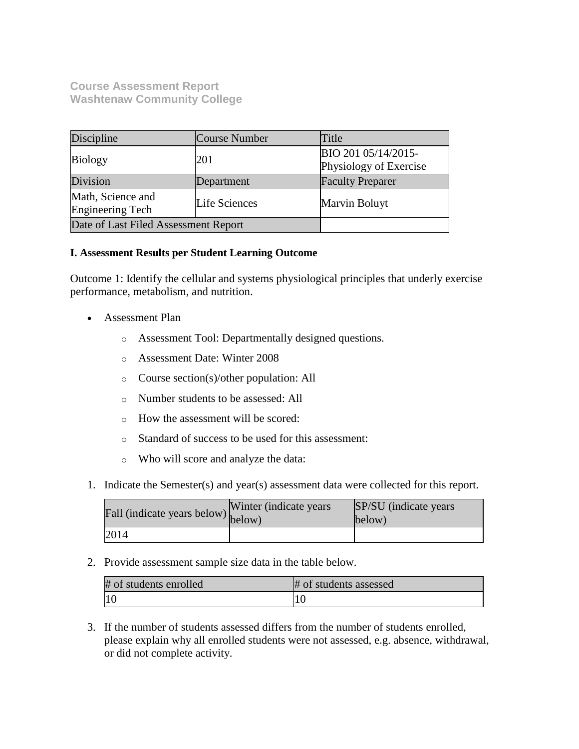**Course Assessment Report Washtenaw Community College**

| Discipline                                                           | Course Number | Title                                         |
|----------------------------------------------------------------------|---------------|-----------------------------------------------|
| <b>Biology</b>                                                       | 201           | BIO 201 05/14/2015-<br>Physiology of Exercise |
| Division                                                             | Department    | <b>Faculty Preparer</b>                       |
| Math, Science and<br><b>Life Sciences</b><br><b>Engineering Tech</b> |               | Marvin Boluyt                                 |
| Date of Last Filed Assessment Report                                 |               |                                               |

### **I. Assessment Results per Student Learning Outcome**

Outcome 1: Identify the cellular and systems physiological principles that underly exercise performance, metabolism, and nutrition.

- Assessment Plan
	- o Assessment Tool: Departmentally designed questions.
	- o Assessment Date: Winter 2008
	- o Course section(s)/other population: All
	- o Number students to be assessed: All
	- o How the assessment will be scored:
	- o Standard of success to be used for this assessment:
	- o Who will score and analyze the data:
- 1. Indicate the Semester(s) and year(s) assessment data were collected for this report.

| Fall (indicate years below) below) | Winter (indicate years) | SP/SU (indicate years)<br>below) |
|------------------------------------|-------------------------|----------------------------------|
| 2014                               |                         |                                  |

2. Provide assessment sample size data in the table below.

| # of students enrolled | # of students assessed |
|------------------------|------------------------|
|                        |                        |

3. If the number of students assessed differs from the number of students enrolled, please explain why all enrolled students were not assessed, e.g. absence, withdrawal, or did not complete activity.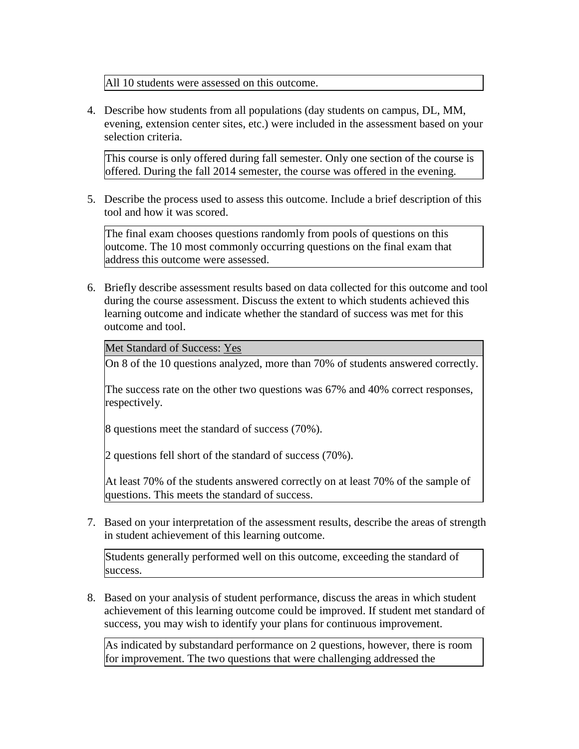All 10 students were assessed on this outcome.

4. Describe how students from all populations (day students on campus, DL, MM, evening, extension center sites, etc.) were included in the assessment based on your selection criteria.

This course is only offered during fall semester. Only one section of the course is offered. During the fall 2014 semester, the course was offered in the evening.

5. Describe the process used to assess this outcome. Include a brief description of this tool and how it was scored.

The final exam chooses questions randomly from pools of questions on this outcome. The 10 most commonly occurring questions on the final exam that address this outcome were assessed.

6. Briefly describe assessment results based on data collected for this outcome and tool during the course assessment. Discuss the extent to which students achieved this learning outcome and indicate whether the standard of success was met for this outcome and tool.

Met Standard of Success: Yes

On 8 of the 10 questions analyzed, more than 70% of students answered correctly.

The success rate on the other two questions was 67% and 40% correct responses, respectively.

8 questions meet the standard of success (70%).

2 questions fell short of the standard of success (70%).

At least 70% of the students answered correctly on at least 70% of the sample of questions. This meets the standard of success.

7. Based on your interpretation of the assessment results, describe the areas of strength in student achievement of this learning outcome.

Students generally performed well on this outcome, exceeding the standard of success.

8. Based on your analysis of student performance, discuss the areas in which student achievement of this learning outcome could be improved. If student met standard of success, you may wish to identify your plans for continuous improvement.

As indicated by substandard performance on 2 questions, however, there is room for improvement. The two questions that were challenging addressed the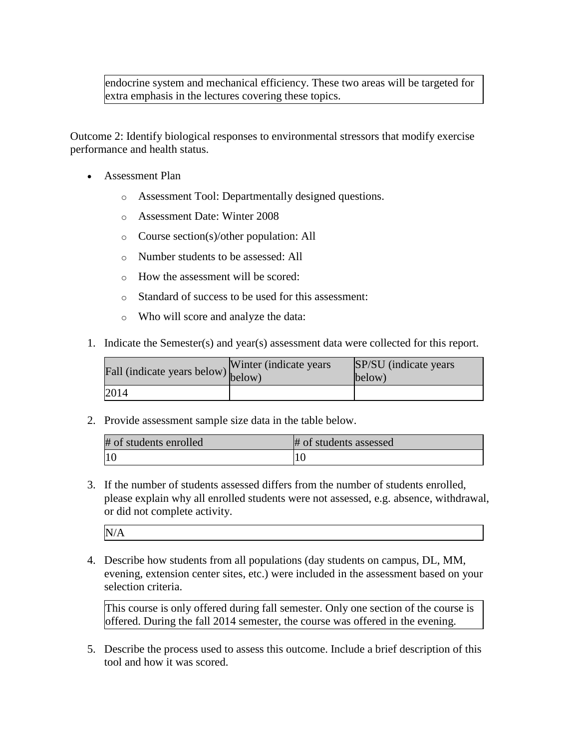endocrine system and mechanical efficiency. These two areas will be targeted for extra emphasis in the lectures covering these topics.

Outcome 2: Identify biological responses to environmental stressors that modify exercise performance and health status.

- Assessment Plan
	- o Assessment Tool: Departmentally designed questions.
	- o Assessment Date: Winter 2008
	- o Course section(s)/other population: All
	- o Number students to be assessed: All
	- o How the assessment will be scored:
	- o Standard of success to be used for this assessment:
	- o Who will score and analyze the data:
- 1. Indicate the Semester(s) and year(s) assessment data were collected for this report.

| Fall (indicate years below) below) | Winter (indicate years) | SP/SU (indicate years)<br>below) |
|------------------------------------|-------------------------|----------------------------------|
| 2014                               |                         |                                  |

2. Provide assessment sample size data in the table below.

| # of students enrolled | # of students assessed |
|------------------------|------------------------|
| $\overline{10}$        |                        |

3. If the number of students assessed differs from the number of students enrolled, please explain why all enrolled students were not assessed, e.g. absence, withdrawal, or did not complete activity.

N/A

4. Describe how students from all populations (day students on campus, DL, MM, evening, extension center sites, etc.) were included in the assessment based on your selection criteria.

This course is only offered during fall semester. Only one section of the course is offered. During the fall 2014 semester, the course was offered in the evening.

5. Describe the process used to assess this outcome. Include a brief description of this tool and how it was scored.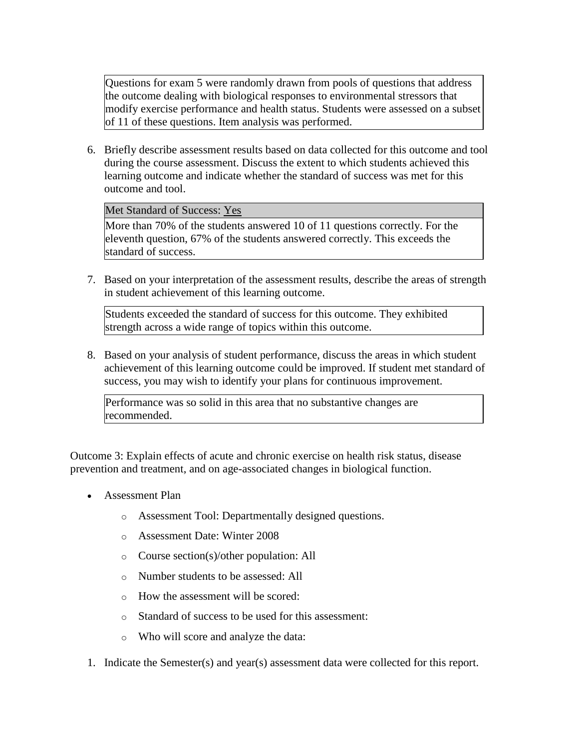Questions for exam 5 were randomly drawn from pools of questions that address the outcome dealing with biological responses to environmental stressors that modify exercise performance and health status. Students were assessed on a subset of 11 of these questions. Item analysis was performed.

6. Briefly describe assessment results based on data collected for this outcome and tool during the course assessment. Discuss the extent to which students achieved this learning outcome and indicate whether the standard of success was met for this outcome and tool.

### Met Standard of Success: Yes

More than 70% of the students answered 10 of 11 questions correctly. For the eleventh question, 67% of the students answered correctly. This exceeds the standard of success.

7. Based on your interpretation of the assessment results, describe the areas of strength in student achievement of this learning outcome.

Students exceeded the standard of success for this outcome. They exhibited strength across a wide range of topics within this outcome.

8. Based on your analysis of student performance, discuss the areas in which student achievement of this learning outcome could be improved. If student met standard of success, you may wish to identify your plans for continuous improvement.

Performance was so solid in this area that no substantive changes are recommended.

Outcome 3: Explain effects of acute and chronic exercise on health risk status, disease prevention and treatment, and on age-associated changes in biological function.

- Assessment Plan
	- o Assessment Tool: Departmentally designed questions.
	- o Assessment Date: Winter 2008
	- o Course section(s)/other population: All
	- o Number students to be assessed: All
	- o How the assessment will be scored:
	- o Standard of success to be used for this assessment:
	- o Who will score and analyze the data:
- 1. Indicate the Semester(s) and year(s) assessment data were collected for this report.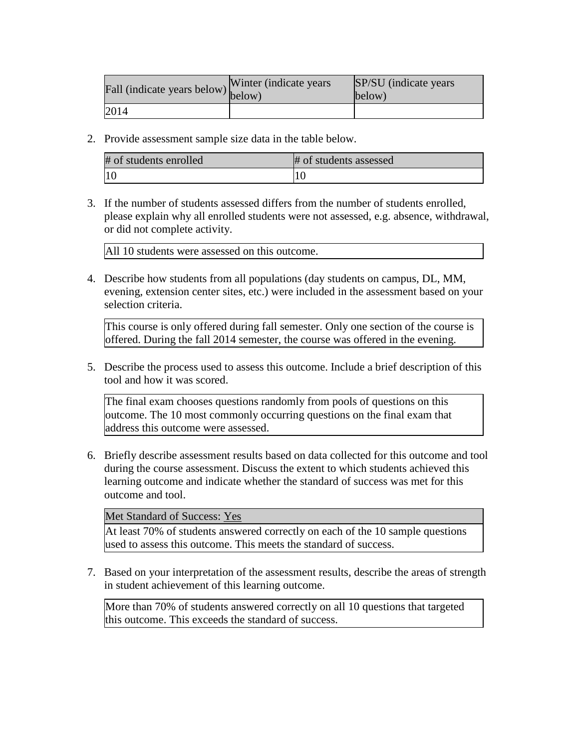| riall (indicate years below) below) | Winter (indicate years) | SP/SU (indicate years)<br>below) |
|-------------------------------------|-------------------------|----------------------------------|
| 2014                                |                         |                                  |

2. Provide assessment sample size data in the table below.

| # of students enrolled | # of students assessed |
|------------------------|------------------------|
| 10                     |                        |

3. If the number of students assessed differs from the number of students enrolled, please explain why all enrolled students were not assessed, e.g. absence, withdrawal, or did not complete activity.

All 10 students were assessed on this outcome.

4. Describe how students from all populations (day students on campus, DL, MM, evening, extension center sites, etc.) were included in the assessment based on your selection criteria.

This course is only offered during fall semester. Only one section of the course is offered. During the fall 2014 semester, the course was offered in the evening.

5. Describe the process used to assess this outcome. Include a brief description of this tool and how it was scored.

The final exam chooses questions randomly from pools of questions on this outcome. The 10 most commonly occurring questions on the final exam that address this outcome were assessed.

6. Briefly describe assessment results based on data collected for this outcome and tool during the course assessment. Discuss the extent to which students achieved this learning outcome and indicate whether the standard of success was met for this outcome and tool.

Met Standard of Success: Yes

At least 70% of students answered correctly on each of the 10 sample questions used to assess this outcome. This meets the standard of success.

7. Based on your interpretation of the assessment results, describe the areas of strength in student achievement of this learning outcome.

More than 70% of students answered correctly on all 10 questions that targeted this outcome. This exceeds the standard of success.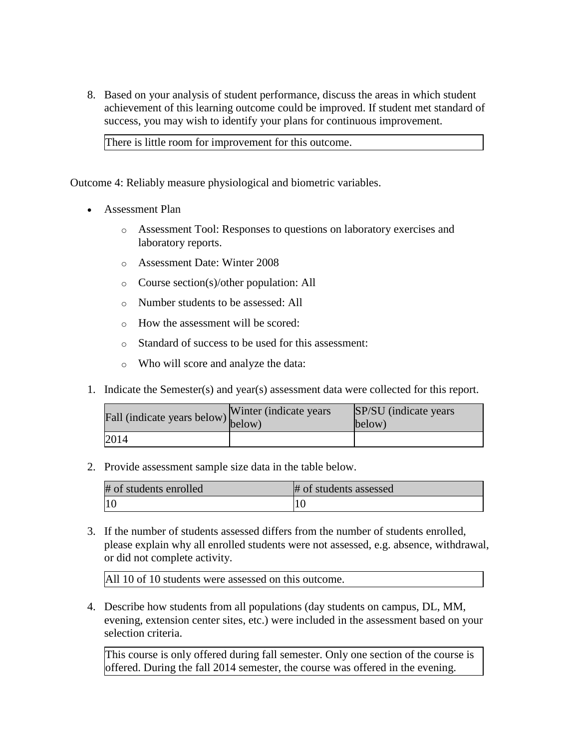8. Based on your analysis of student performance, discuss the areas in which student achievement of this learning outcome could be improved. If student met standard of success, you may wish to identify your plans for continuous improvement.

There is little room for improvement for this outcome.

Outcome 4: Reliably measure physiological and biometric variables.

- Assessment Plan
	- o Assessment Tool: Responses to questions on laboratory exercises and laboratory reports.
	- o Assessment Date: Winter 2008
	- o Course section(s)/other population: All
	- o Number students to be assessed: All
	- o How the assessment will be scored:
	- o Standard of success to be used for this assessment:
	- o Who will score and analyze the data:
- 1. Indicate the Semester(s) and year(s) assessment data were collected for this report.

| Fall (indicate years below) $\begin{bmatrix}$ <sup>w inter</sup> | Winter (indicate years) | SP/SU (indicate years)<br>below) |
|------------------------------------------------------------------|-------------------------|----------------------------------|
| 2014                                                             |                         |                                  |

2. Provide assessment sample size data in the table below.

| # of students enrolled | # of students assessed |
|------------------------|------------------------|
|                        |                        |

3. If the number of students assessed differs from the number of students enrolled, please explain why all enrolled students were not assessed, e.g. absence, withdrawal, or did not complete activity.

All 10 of 10 students were assessed on this outcome.

4. Describe how students from all populations (day students on campus, DL, MM, evening, extension center sites, etc.) were included in the assessment based on your selection criteria.

This course is only offered during fall semester. Only one section of the course is offered. During the fall 2014 semester, the course was offered in the evening.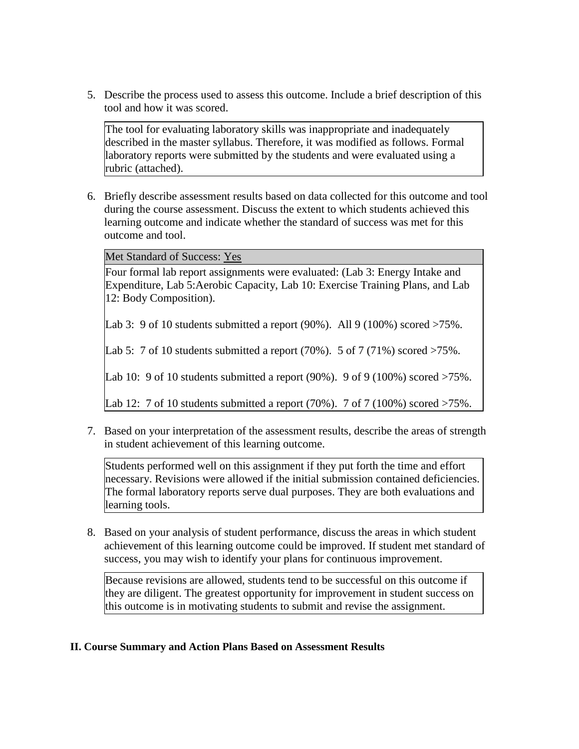5. Describe the process used to assess this outcome. Include a brief description of this tool and how it was scored.

The tool for evaluating laboratory skills was inappropriate and inadequately described in the master syllabus. Therefore, it was modified as follows. Formal laboratory reports were submitted by the students and were evaluated using a rubric (attached).

6. Briefly describe assessment results based on data collected for this outcome and tool during the course assessment. Discuss the extent to which students achieved this learning outcome and indicate whether the standard of success was met for this outcome and tool.

Met Standard of Success: Yes

Four formal lab report assignments were evaluated: (Lab 3: Energy Intake and Expenditure, Lab 5:Aerobic Capacity, Lab 10: Exercise Training Plans, and Lab 12: Body Composition).

Lab 3: 9 of 10 students submitted a report  $(90\%)$ . All 9  $(100\%)$  scored  $>75\%$ .

Lab 5: 7 of 10 students submitted a report  $(70\%)$ . 5 of 7  $(71\%)$  scored  $>75\%$ .

Lab 10: 9 of 10 students submitted a report  $(90\%)$ . 9 of 9  $(100\%)$  scored  $>75\%$ .

Lab 12: 7 of 10 students submitted a report  $(70\%)$ . 7 of 7  $(100\%)$  scored  $>75\%$ .

7. Based on your interpretation of the assessment results, describe the areas of strength in student achievement of this learning outcome.

Students performed well on this assignment if they put forth the time and effort necessary. Revisions were allowed if the initial submission contained deficiencies. The formal laboratory reports serve dual purposes. They are both evaluations and learning tools.

8. Based on your analysis of student performance, discuss the areas in which student achievement of this learning outcome could be improved. If student met standard of success, you may wish to identify your plans for continuous improvement.

Because revisions are allowed, students tend to be successful on this outcome if they are diligent. The greatest opportunity for improvement in student success on this outcome is in motivating students to submit and revise the assignment.

#### **II. Course Summary and Action Plans Based on Assessment Results**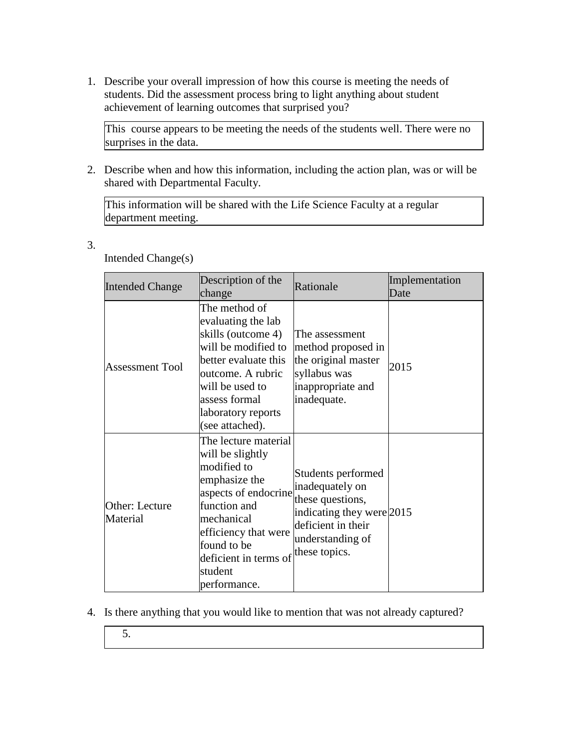1. Describe your overall impression of how this course is meeting the needs of students. Did the assessment process bring to light anything about student achievement of learning outcomes that surprised you?

This course appears to be meeting the needs of the students well. There were no surprises in the data.

2. Describe when and how this information, including the action plan, was or will be shared with Departmental Faculty.

This information will be shared with the Life Science Faculty at a regular department meeting.

3.

| <b>Intended Change</b>     | Description of the<br>change                                                                                                                                                                                              | Rationale                                                                                                                                         | Implementation<br>Date |
|----------------------------|---------------------------------------------------------------------------------------------------------------------------------------------------------------------------------------------------------------------------|---------------------------------------------------------------------------------------------------------------------------------------------------|------------------------|
| <b>Assessment Tool</b>     | The method of<br>evaluating the lab<br>skills (outcome 4)<br>will be modified to<br>better evaluate this<br>outcome. A rubric<br>will be used to<br>assess formal<br>laboratory reports<br>(see attached).                | The assessment<br>method proposed in<br>the original master<br>syllabus was<br>inappropriate and<br>inadequate.                                   | 2015                   |
| Other: Lecture<br>Material | The lecture material<br>will be slightly<br>modified to<br>emphasize the<br>aspects of endocrine<br>function and<br>mechanical<br>efficiency that were<br>found to be<br>deficient in terms of<br>student<br>performance. | Students performed<br>inadequately on<br>these questions,<br>indicating they were 2015<br>deficient in their<br>understanding of<br>these topics. |                        |

Intended Change(s)

- 4. Is there anything that you would like to mention that was not already captured?
	- 5.